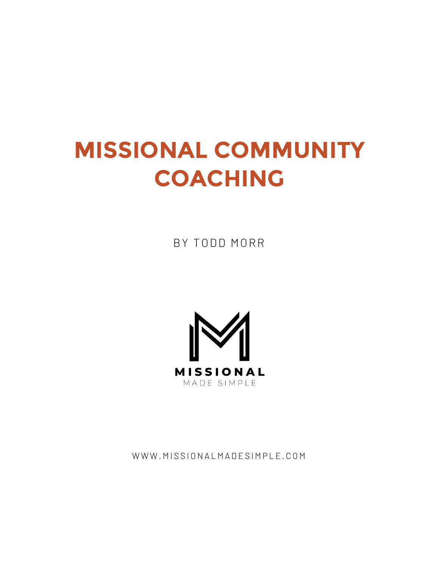# **MISSIONAL COMMUNITY COACHING**

BY TODD MORR



WWW.MISSIONALMADESIMPLE.COM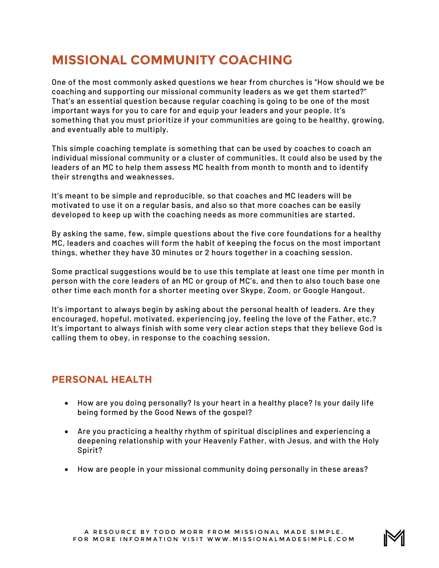# **MISSIONAL COMMUNITY COACHING**

One of the most commonly asked questions we hear from churches is "How should we be coaching and supporting our missional community leaders as we get them started?" That's an essential question because regular coaching is going to be one of the most important ways for you to care for and equip your leaders and your people. It's something that you must prioritize if your communities are going to be healthy, growing, and eventually able to multiply.

This simple coaching template is something that can be used by coaches to coach an individual missional community or a cluster of communities. It could also be used by the leaders of an MC to help them assess MC health from month to month and to identify their strengths and weaknesses.

It's meant to be simple and reproducible, so that coaches and MC leaders will be motivated to use it on a regular basis, and also so that more coaches can be easily developed to keep up with the coaching needs as more communities are started.

By asking the same, few, simple questions about the five core foundations for a healthy MC, leaders and coaches will form the habit of keeping the focus on the most important things, whether they have 30 minutes or 2 hours together in a coaching session.

Some practical suggestions would be to use this template at least one time per month in person with the core leaders of an MC or group of MC's, and then to also touch base one other time each month for a shorter meeting over Skype, Zoom, or Google Hangout.

It's important to always begin by asking about the personal health of leaders. Are they encouraged, hopeful, motivated, experiencing joy, feeling the love of the Father, etc.? It's important to always finish with some very clear action steps that they believe God is calling them to obey, in response to the coaching session.

## **PERSONAL HEALTH**

- How are you doing personally? Is your heart in a healthy place? Is your daily life being formed by the Good News of the gospel?
- Are you practicing a healthy rhythm of spiritual disciplines and experiencing a deepening relationship with your Heavenly Father, with Jesus, and with the Holy Spirit?
- How are people in your missional community doing personally in these areas?